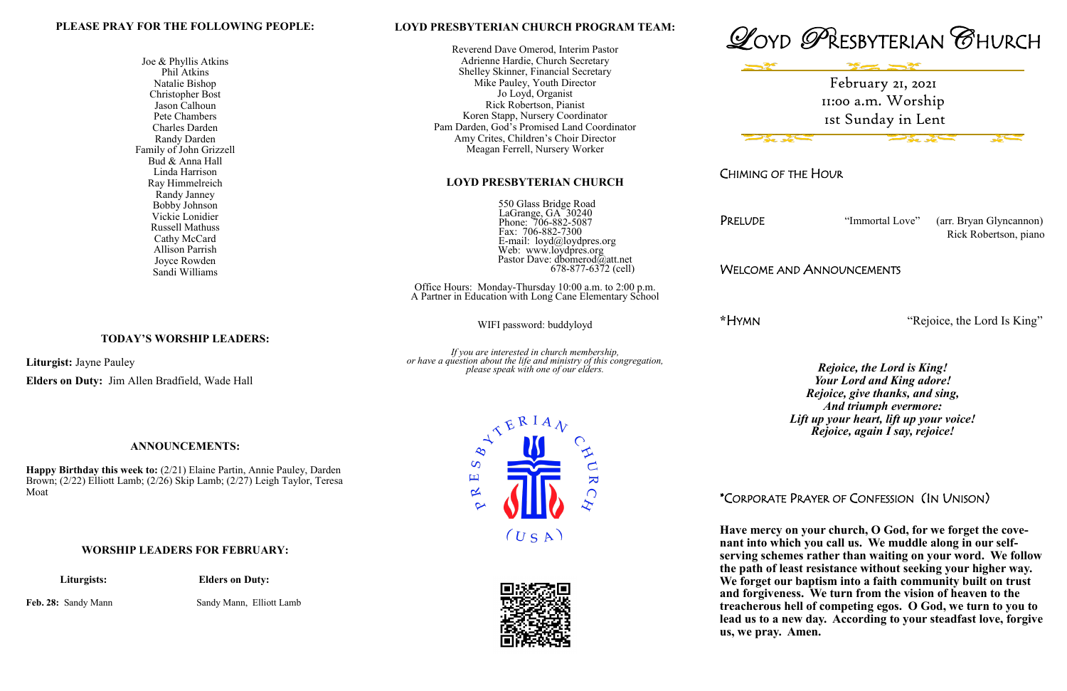## **LOYD PRESBYTERIAN CHURCH PROGRAM TEAM:**

 550 Glass Bridge Road LaGrange, GA 30240 Phone: 706-882-5087 Fax: 706-882-7300 E-mail: loyd@loydpres.org Web: www.loydpres.org Pastor Dave: dbomerod@att.net  $678-877-6372$  (cell)

Reverend Dave Omerod, Interim Pastor Adrienne Hardie, Church Secretary Shelley Skinner, Financial Secretary Mike Pauley, Youth Director Jo Loyd, Organist Rick Robertson, Pianist Koren Stapp, Nursery Coordinator Pam Darden, God's Promised Land Coordinator Amy Crites, Children's Choir Director Meagan Ferrell, Nursery Worker

## **LOYD PRESBYTERIAN CHURCH**

Office Hours: Monday-Thursday 10:00 a.m. to 2:00 p.m. A Partner in Education with Long Cane Elementary School

WIFI password: buddyloyd

*If you are interested in church membership, or have a question about the life and ministry of this congregation, please speak with one of our elders.*



CHIMING OF THE HOUR

PRELUDE "Immortal Love" (arr. Bryan Glyncannon) Rick Robertson, piano

WELCOME AND ANNOUNCEMENTS

**\***HYMN "Rejoice, the Lord Is King"

*Rejoice, the Lord is King! Your Lord and King adore! Rejoice, give thanks, and sing, And triumph evermore: Lift up your heart, lift up your voice! Rejoice, again I say, rejoice!*

\*CORPORATE PRAYER OF CONFESSION (IN UNISON)

**Have mercy on your church, O God, for we forget the covenant into which you call us. We muddle along in our selfserving schemes rather than waiting on your word. We follow the path of least resistance without seeking your higher way. We forget our baptism into a faith community built on trust and forgiveness. We turn from the vision of heaven to the treacherous hell of competing egos. O God, we turn to you to lead us to a new day. According to your steadfast love, forgive us, we pray. Amen.**

# **PLEASE PRAY FOR THE FOLLOWING PEOPLE:**

Joe & Phyllis Atkins Phil Atkins Natalie Bishop Christopher Bost Jason Calhoun Pete Chambers Charles Darden Randy Darden Family of John Grizzell Bud & Anna Hall Linda Harrison Ray Himmelreich Randy Janney Bobby Johnson Vickie Lonidier Russell Mathuss Cathy McCard Allison Parrish Joyce Rowden Sandi Williams

**TODAY'S WORSHIP LEADERS:**

**Liturgist:** Jayne Pauley

**Elders on Duty:** Jim Allen Bradfield, Wade Hall

#### **ANNOUNCEMENTS:**

**Happy Birthday this week to:** (2/21) Elaine Partin, Annie Pauley, Darden Brown; (2/22) Elliott Lamb; (2/26) Skip Lamb; (2/27) Leigh Taylor, Teresa Moat

#### **WORSHIP LEADERS FOR FEBRUARY:**

 **Liturgists: Elders on Duty:**

Feb. 28: Sandy Mann Sandy Mann, Elliott Lamb





February 21, 2021 11:00 a.m. Worship 1st Sunday in Lent